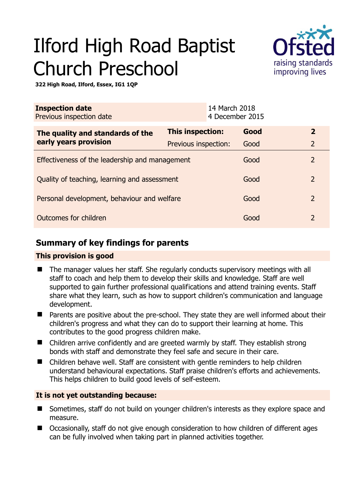# Ilford High Road Baptist Church Preschool



**322 High Road, Ilford, Essex, IG1 1QP** 

| <b>Inspection date</b><br>Previous inspection date        | 14 March 2018<br>4 December 2015 |      |                |
|-----------------------------------------------------------|----------------------------------|------|----------------|
| The quality and standards of the<br>early years provision | This inspection:                 | Good | $\overline{2}$ |
|                                                           | Previous inspection:             | Good | $\overline{2}$ |
| Effectiveness of the leadership and management            |                                  | Good | $\overline{2}$ |
| Quality of teaching, learning and assessment              |                                  | Good | $\overline{2}$ |
| Personal development, behaviour and welfare               |                                  | Good | $\overline{2}$ |
| Outcomes for children                                     |                                  | Good | $\mathcal{P}$  |

# **Summary of key findings for parents**

## **This provision is good**

- The manager values her staff. She regularly conducts supervisory meetings with all staff to coach and help them to develop their skills and knowledge. Staff are well supported to gain further professional qualifications and attend training events. Staff share what they learn, such as how to support children's communication and language development.
- Parents are positive about the pre-school. They state they are well informed about their children's progress and what they can do to support their learning at home. This contributes to the good progress children make.
- Children arrive confidently and are greeted warmly by staff. They establish strong bonds with staff and demonstrate they feel safe and secure in their care.
- Children behave well. Staff are consistent with gentle reminders to help children understand behavioural expectations. Staff praise children's efforts and achievements. This helps children to build good levels of self-esteem.

## **It is not yet outstanding because:**

- Sometimes, staff do not build on younger children's interests as they explore space and measure.
- Occasionally, staff do not give enough consideration to how children of different ages can be fully involved when taking part in planned activities together.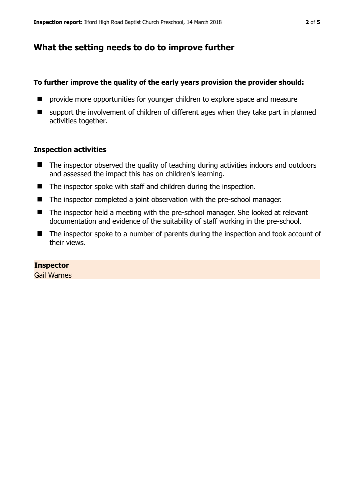## **What the setting needs to do to improve further**

#### **To further improve the quality of the early years provision the provider should:**

- $\blacksquare$  provide more opportunities for younger children to explore space and measure
- support the involvement of children of different ages when they take part in planned activities together.

#### **Inspection activities**

- The inspector observed the quality of teaching during activities indoors and outdoors and assessed the impact this has on children's learning.
- The inspector spoke with staff and children during the inspection.
- The inspector completed a joint observation with the pre-school manager.
- The inspector held a meeting with the pre-school manager. She looked at relevant documentation and evidence of the suitability of staff working in the pre-school.
- The inspector spoke to a number of parents during the inspection and took account of their views.

#### **Inspector**

Gail Warnes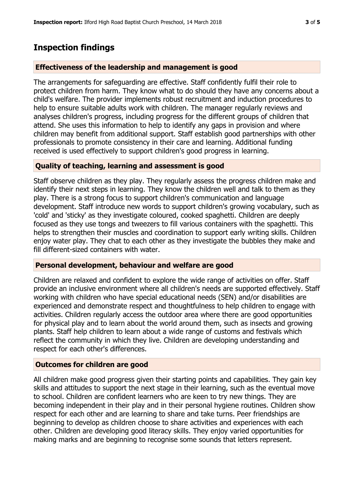# **Inspection findings**

## **Effectiveness of the leadership and management is good**

The arrangements for safeguarding are effective. Staff confidently fulfil their role to protect children from harm. They know what to do should they have any concerns about a child's welfare. The provider implements robust recruitment and induction procedures to help to ensure suitable adults work with children. The manager regularly reviews and analyses children's progress, including progress for the different groups of children that attend. She uses this information to help to identify any gaps in provision and where children may benefit from additional support. Staff establish good partnerships with other professionals to promote consistency in their care and learning. Additional funding received is used effectively to support children's good progress in learning.

#### **Quality of teaching, learning and assessment is good**

Staff observe children as they play. They regularly assess the progress children make and identify their next steps in learning. They know the children well and talk to them as they play. There is a strong focus to support children's communication and language development. Staff introduce new words to support children's growing vocabulary, such as 'cold' and 'sticky' as they investigate coloured, cooked spaghetti. Children are deeply focused as they use tongs and tweezers to fill various containers with the spaghetti. This helps to strengthen their muscles and coordination to support early writing skills. Children enjoy water play. They chat to each other as they investigate the bubbles they make and fill different-sized containers with water.

#### **Personal development, behaviour and welfare are good**

Children are relaxed and confident to explore the wide range of activities on offer. Staff provide an inclusive environment where all children's needs are supported effectively. Staff working with children who have special educational needs (SEN) and/or disabilities are experienced and demonstrate respect and thoughtfulness to help children to engage with activities. Children regularly access the outdoor area where there are good opportunities for physical play and to learn about the world around them, such as insects and growing plants. Staff help children to learn about a wide range of customs and festivals which reflect the community in which they live. Children are developing understanding and respect for each other's differences.

## **Outcomes for children are good**

All children make good progress given their starting points and capabilities. They gain key skills and attitudes to support the next stage in their learning, such as the eventual move to school. Children are confident learners who are keen to try new things. They are becoming independent in their play and in their personal hygiene routines. Children show respect for each other and are learning to share and take turns. Peer friendships are beginning to develop as children choose to share activities and experiences with each other. Children are developing good literacy skills. They enjoy varied opportunities for making marks and are beginning to recognise some sounds that letters represent.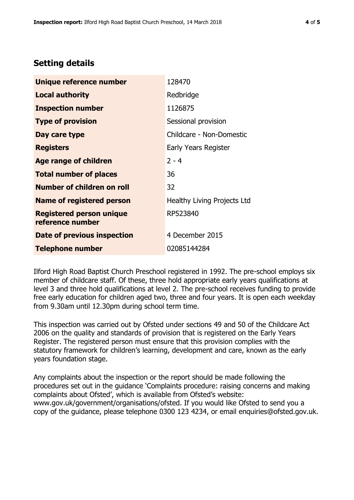# **Setting details**

| Unique reference number                             | 128470                      |
|-----------------------------------------------------|-----------------------------|
| Local authority                                     | Redbridge                   |
| <b>Inspection number</b>                            | 1126875                     |
| <b>Type of provision</b>                            | Sessional provision         |
| Day care type                                       | Childcare - Non-Domestic    |
| <b>Registers</b>                                    | Early Years Register        |
| <b>Age range of children</b>                        | $2 - 4$                     |
| <b>Total number of places</b>                       | 36                          |
| <b>Number of children on roll</b>                   | 32                          |
| <b>Name of registered person</b>                    | Healthy Living Projects Ltd |
| <b>Registered person unique</b><br>reference number | RP523840                    |
| Date of previous inspection                         | 4 December 2015             |
| <b>Telephone number</b>                             | 02085144284                 |

Ilford High Road Baptist Church Preschool registered in 1992. The pre-school employs six member of childcare staff. Of these, three hold appropriate early years qualifications at level 3 and three hold qualifications at level 2. The pre-school receives funding to provide free early education for children aged two, three and four years. It is open each weekday from 9.30am until 12.30pm during school term time.

This inspection was carried out by Ofsted under sections 49 and 50 of the Childcare Act 2006 on the quality and standards of provision that is registered on the Early Years Register. The registered person must ensure that this provision complies with the statutory framework for children's learning, development and care, known as the early years foundation stage.

Any complaints about the inspection or the report should be made following the procedures set out in the guidance 'Complaints procedure: raising concerns and making complaints about Ofsted', which is available from Ofsted's website: www.gov.uk/government/organisations/ofsted. If you would like Ofsted to send you a copy of the guidance, please telephone 0300 123 4234, or email enquiries@ofsted.gov.uk.